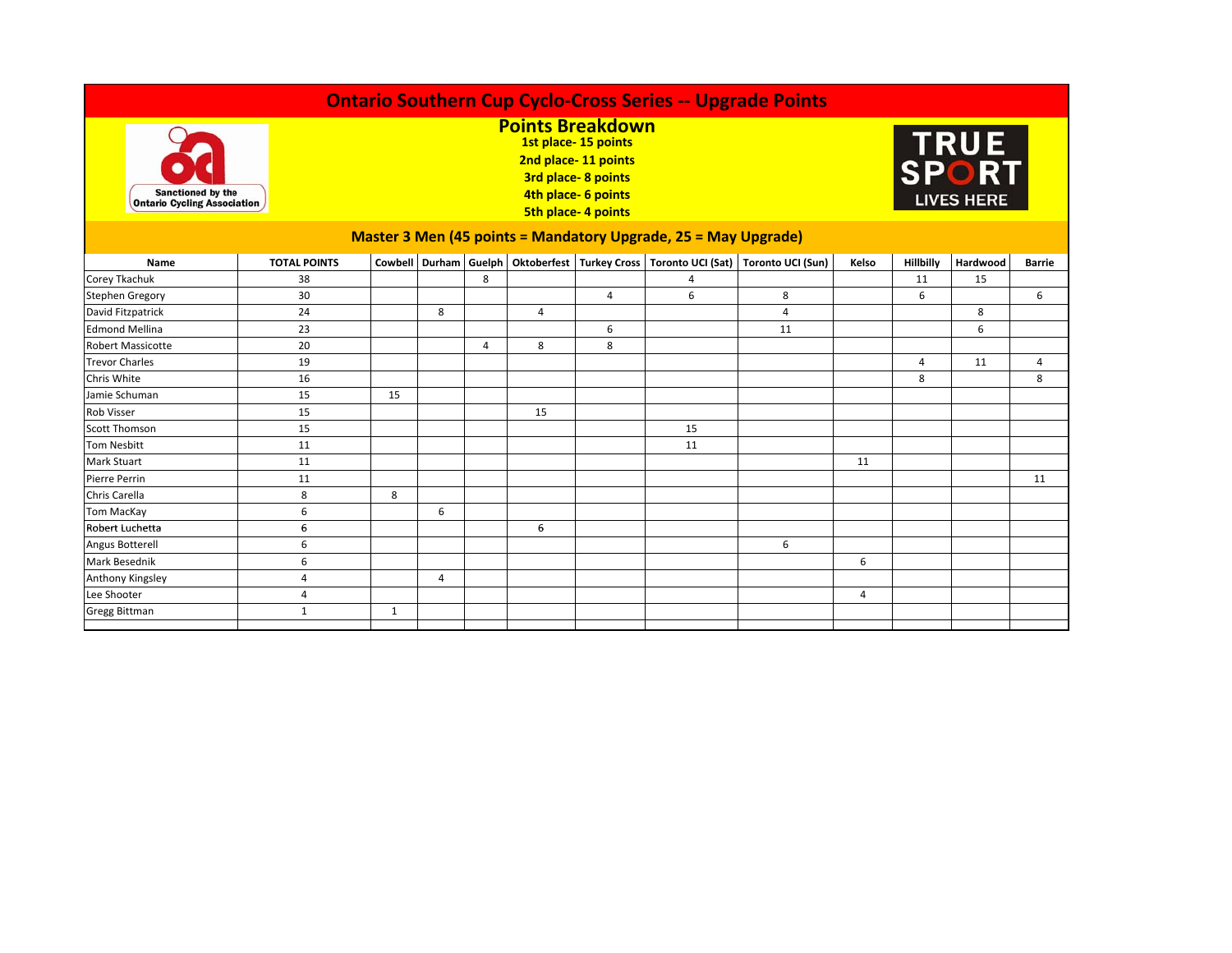| <b>Ontario Southern Cup Cyclo-Cross Series -- Upgrade Points</b> |                     |                                                                                                                                                        |                |   |                |   |    |                                                                                    |                |                           |          |               |  |
|------------------------------------------------------------------|---------------------|--------------------------------------------------------------------------------------------------------------------------------------------------------|----------------|---|----------------|---|----|------------------------------------------------------------------------------------|----------------|---------------------------|----------|---------------|--|
| <b>Sanctioned by the</b><br><b>Ontario Cycling Association</b>   |                     | <b>Points Breakdown</b><br>1st place-15 points<br>2nd place-11 points<br><b>3rd place-8 points</b><br>4th place- 6 points<br><b>5th place-4 points</b> |                |   |                |   |    |                                                                                    |                | TRUE<br><b>LIVES HERE</b> |          |               |  |
| Master 3 Men (45 points = Mandatory Upgrade, 25 = May Upgrade)   |                     |                                                                                                                                                        |                |   |                |   |    |                                                                                    |                |                           |          |               |  |
| Name                                                             | <b>TOTAL POINTS</b> |                                                                                                                                                        |                |   |                |   |    | Cowbell Durham Guelph Oktoberfest Turkey Cross Toronto UCI (Sat) Toronto UCI (Sun) | Kelso          | Hillbilly                 | Hardwood | <b>Barrie</b> |  |
| Corey Tkachuk                                                    | 38                  |                                                                                                                                                        |                | 8 |                |   | 4  |                                                                                    |                | 11                        | 15       |               |  |
| <b>Stephen Gregory</b>                                           | 30                  |                                                                                                                                                        |                |   |                | 4 | 6  | 8                                                                                  |                | 6                         |          | 6             |  |
| David Fitzpatrick                                                | 24                  |                                                                                                                                                        | 8              |   | $\overline{4}$ |   |    | $\overline{4}$                                                                     |                |                           | 8        |               |  |
| <b>Edmond Mellina</b>                                            | 23                  |                                                                                                                                                        |                |   |                | 6 |    | 11                                                                                 |                |                           | 6        |               |  |
| <b>Robert Massicotte</b>                                         | 20                  |                                                                                                                                                        |                | 4 | 8              | 8 |    |                                                                                    |                |                           |          |               |  |
| <b>Trevor Charles</b>                                            | 19                  |                                                                                                                                                        |                |   |                |   |    |                                                                                    |                | 4                         | 11       | 4             |  |
| Chris White                                                      | 16                  |                                                                                                                                                        |                |   |                |   |    |                                                                                    |                | 8                         |          | 8             |  |
| Jamie Schuman                                                    | 15                  | 15                                                                                                                                                     |                |   |                |   |    |                                                                                    |                |                           |          |               |  |
| <b>Rob Visser</b>                                                | 15                  |                                                                                                                                                        |                |   | 15             |   |    |                                                                                    |                |                           |          |               |  |
| <b>Scott Thomson</b>                                             | 15                  |                                                                                                                                                        |                |   |                |   | 15 |                                                                                    |                |                           |          |               |  |
| Tom Nesbitt                                                      | 11                  |                                                                                                                                                        |                |   |                |   | 11 |                                                                                    |                |                           |          |               |  |
| <b>Mark Stuart</b>                                               | 11                  |                                                                                                                                                        |                |   |                |   |    |                                                                                    | 11             |                           |          |               |  |
| <b>Pierre Perrin</b>                                             | 11                  |                                                                                                                                                        |                |   |                |   |    |                                                                                    |                |                           |          | 11            |  |
| Chris Carella                                                    | 8                   | 8                                                                                                                                                      |                |   |                |   |    |                                                                                    |                |                           |          |               |  |
| <b>Tom MacKay</b>                                                | 6                   |                                                                                                                                                        | 6              |   |                |   |    |                                                                                    |                |                           |          |               |  |
| Robert Luchetta                                                  | 6                   |                                                                                                                                                        |                |   | 6              |   |    |                                                                                    |                |                           |          |               |  |
| Angus Botterell                                                  | 6                   |                                                                                                                                                        |                |   |                |   |    | 6                                                                                  |                |                           |          |               |  |
| <b>Mark Besednik</b>                                             | 6                   |                                                                                                                                                        |                |   |                |   |    |                                                                                    | 6              |                           |          |               |  |
| Anthony Kingsley                                                 | 4                   |                                                                                                                                                        | $\overline{4}$ |   |                |   |    |                                                                                    |                |                           |          |               |  |
| Lee Shooter                                                      | $\overline{4}$      |                                                                                                                                                        |                |   |                |   |    |                                                                                    | $\overline{4}$ |                           |          |               |  |
| <b>Gregg Bittman</b>                                             | $\mathbf{1}$        | 1                                                                                                                                                      |                |   |                |   |    |                                                                                    |                |                           |          |               |  |